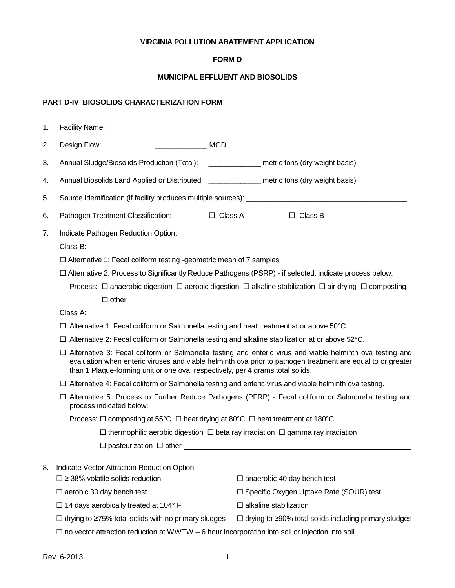## **VIRGINIA POLLUTION ABATEMENT APPLICATION**

### **FORM D**

### **MUNICIPAL EFFLUENT AND BIOSOLIDS**

# **PART D-IV BIOSOLIDS CHARACTERIZATION FORM**

| 1.                                                                                                                                                                                                                                                  | Facility Name:                                                                                                                                                                                                                                                                                               |                                                                                                                                |                                                                                                                                                                                                |
|-----------------------------------------------------------------------------------------------------------------------------------------------------------------------------------------------------------------------------------------------------|--------------------------------------------------------------------------------------------------------------------------------------------------------------------------------------------------------------------------------------------------------------------------------------------------------------|--------------------------------------------------------------------------------------------------------------------------------|------------------------------------------------------------------------------------------------------------------------------------------------------------------------------------------------|
| 2.                                                                                                                                                                                                                                                  | Design Flow:<br><b>MGD</b>                                                                                                                                                                                                                                                                                   |                                                                                                                                |                                                                                                                                                                                                |
| 3.                                                                                                                                                                                                                                                  | Annual Sludge/Biosolids Production (Total):                                                                                                                                                                                                                                                                  | metric tons (dry weight basis)                                                                                                 |                                                                                                                                                                                                |
| 4.                                                                                                                                                                                                                                                  | Annual Biosolids Land Applied or Distributed: ________________ metric tons (dry weight basis)                                                                                                                                                                                                                |                                                                                                                                |                                                                                                                                                                                                |
| 5.                                                                                                                                                                                                                                                  |                                                                                                                                                                                                                                                                                                              |                                                                                                                                |                                                                                                                                                                                                |
| 6.                                                                                                                                                                                                                                                  | Pathogen Treatment Classification:<br>$\Box$ Class A                                                                                                                                                                                                                                                         | $\Box$ Class B                                                                                                                 |                                                                                                                                                                                                |
| 7.                                                                                                                                                                                                                                                  |                                                                                                                                                                                                                                                                                                              |                                                                                                                                |                                                                                                                                                                                                |
|                                                                                                                                                                                                                                                     | $\Box$ Alternative 1: Fecal coliform testing -geometric mean of 7 samples                                                                                                                                                                                                                                    |                                                                                                                                |                                                                                                                                                                                                |
|                                                                                                                                                                                                                                                     | □ Alternative 2: Process to Significantly Reduce Pathogens (PSRP) - if selected, indicate process below:                                                                                                                                                                                                     |                                                                                                                                |                                                                                                                                                                                                |
|                                                                                                                                                                                                                                                     |                                                                                                                                                                                                                                                                                                              | Process: $\Box$ anaerobic digestion $\Box$ aerobic digestion $\Box$ alkaline stabilization $\Box$ air drying $\Box$ composting |                                                                                                                                                                                                |
|                                                                                                                                                                                                                                                     | $\Box$ other $\Box$                                                                                                                                                                                                                                                                                          |                                                                                                                                |                                                                                                                                                                                                |
|                                                                                                                                                                                                                                                     | Class A:                                                                                                                                                                                                                                                                                                     |                                                                                                                                |                                                                                                                                                                                                |
|                                                                                                                                                                                                                                                     |                                                                                                                                                                                                                                                                                                              | $\Box$ Alternative 1: Fecal coliform or Salmonella testing and heat treatment at or above 50°C.                                |                                                                                                                                                                                                |
|                                                                                                                                                                                                                                                     | $\Box$ Alternative 2: Fecal coliform or Salmonella testing and alkaline stabilization at or above 52°C.                                                                                                                                                                                                      |                                                                                                                                |                                                                                                                                                                                                |
|                                                                                                                                                                                                                                                     | □ Alternative 3: Fecal coliform or Salmonella testing and enteric virus and viable helminth ova testing and<br>evaluation when enteric viruses and viable helminth ova prior to pathogen treatment are equal to or greater<br>than 1 Plaque-forming unit or one ova, respectively, per 4 grams total solids. |                                                                                                                                |                                                                                                                                                                                                |
| $\Box$ Alternative 4: Fecal coliform or Salmonella testing and enteric virus and viable helminth ova testing.<br>□ Alternative 5: Process to Further Reduce Pathogens (PFRP) - Fecal coliform or Salmonella testing and<br>process indicated below: |                                                                                                                                                                                                                                                                                                              |                                                                                                                                |                                                                                                                                                                                                |
|                                                                                                                                                                                                                                                     |                                                                                                                                                                                                                                                                                                              |                                                                                                                                | Process: $\Box$ composting at 55°C $\Box$ heat drying at 80°C $\Box$ heat treatment at 180°C<br>$\Box$ thermophilic aerobic digestion $\Box$ beta ray irradiation $\Box$ gamma ray irradiation |
|                                                                                                                                                                                                                                                     |                                                                                                                                                                                                                                                                                                              |                                                                                                                                |                                                                                                                                                                                                |
|                                                                                                                                                                                                                                                     |                                                                                                                                                                                                                                                                                                              |                                                                                                                                |                                                                                                                                                                                                |
| 8.                                                                                                                                                                                                                                                  | Indicate Vector Attraction Reduction Option:                                                                                                                                                                                                                                                                 |                                                                                                                                |                                                                                                                                                                                                |
|                                                                                                                                                                                                                                                     | $\square$ ≥ 38% volatile solids reduction                                                                                                                                                                                                                                                                    | $\Box$ anaerobic 40 day bench test                                                                                             |                                                                                                                                                                                                |
|                                                                                                                                                                                                                                                     | $\Box$ aerobic 30 day bench test                                                                                                                                                                                                                                                                             | $\Box$ Specific Oxygen Uptake Rate (SOUR) test                                                                                 |                                                                                                                                                                                                |
|                                                                                                                                                                                                                                                     | $\Box$ 14 days aerobically treated at 104 $^{\circ}$ F                                                                                                                                                                                                                                                       | $\Box$ alkaline stabilization                                                                                                  |                                                                                                                                                                                                |
|                                                                                                                                                                                                                                                     | $\Box$ drying to $\geq$ 75% total solids with no primary sludges                                                                                                                                                                                                                                             | $\Box$ drying to $\geq$ 90% total solids including primary sludges                                                             |                                                                                                                                                                                                |
|                                                                                                                                                                                                                                                     | $\Box$ no vector attraction reduction at WWTW $-6$ hour incorporation into soil or injection into soil                                                                                                                                                                                                       |                                                                                                                                |                                                                                                                                                                                                |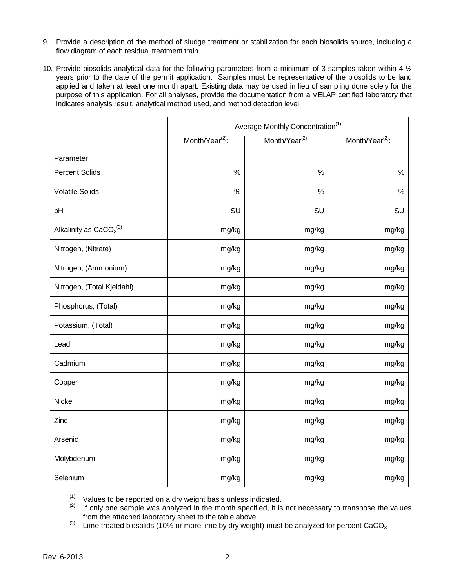- 9. Provide a description of the method of sludge treatment or stabilization for each biosolids source, including a flow diagram of each residual treatment train.
- 10. Provide biosolids analytical data for the following parameters from a minimum of 3 samples taken within 4  $\frac{1}{2}$ years prior to the date of the permit application. Samples must be representative of the biosolids to be land applied and taken at least one month apart. Existing data may be used in lieu of sampling done solely for the purpose of this application. For all analyses, provide the documentation from a VELAP certified laboratory that indicates analysis result, analytical method used, and method detection level.

|                            | Average Monthly Concentration <sup>(1)</sup> |                             |                             |
|----------------------------|----------------------------------------------|-----------------------------|-----------------------------|
|                            | Month/Year <sup>(2)</sup> :                  | Month/Year <sup>(2)</sup> : | Month/Year <sup>(2)</sup> : |
| Parameter                  |                                              |                             |                             |
| <b>Percent Solids</b>      | $\%$                                         | $\%$                        | $\%$                        |
| <b>Volatile Solids</b>     | $\%$                                         | $\%$                        | %                           |
| pH                         | SU                                           | SU                          | SU                          |
| Alkalinity as $CaCO3(3)$   | mg/kg                                        | mg/kg                       | mg/kg                       |
| Nitrogen, (Nitrate)        | mg/kg                                        | mg/kg                       | mg/kg                       |
| Nitrogen, (Ammonium)       | mg/kg                                        | mg/kg                       | mg/kg                       |
| Nitrogen, (Total Kjeldahl) | mg/kg                                        | mg/kg                       | mg/kg                       |
| Phosphorus, (Total)        | mg/kg                                        | mg/kg                       | mg/kg                       |
| Potassium, (Total)         | mg/kg                                        | mg/kg                       | mg/kg                       |
| Lead                       | mg/kg                                        | mg/kg                       | mg/kg                       |
| Cadmium                    | mg/kg                                        | mg/kg                       | mg/kg                       |
| Copper                     | mg/kg                                        | mg/kg                       | mg/kg                       |
| Nickel                     | mg/kg                                        | mg/kg                       | mg/kg                       |
| Zinc                       | mg/kg                                        | mg/kg                       | mg/kg                       |
| Arsenic                    | mg/kg                                        | mg/kg                       | mg/kg                       |
| Molybdenum                 | mg/kg                                        | mg/kg                       | mg/kg                       |
| Selenium                   | mg/kg                                        | mg/kg                       | mg/kg                       |

 $(1)$  Values to be reported on a dry weight basis unless indicated.

(2) If only one sample was analyzed in the month specified, it is not necessary to transpose the values from the attached laboratory sheet to the table above.

(3) Lime treated biosolids (10% or more lime by dry weight) must be analyzed for percent CaCO<sub>3</sub>.